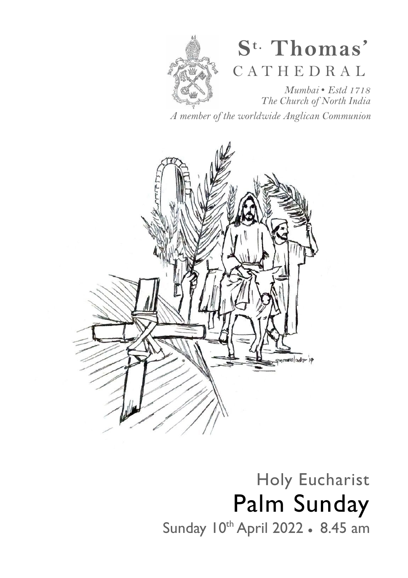

# **S t. Thomas'**  C A T H E D R A L

*Mumbai* • *Estd 1718 The Church of North India* 

*A member of the worldwide Anglican Communion* 



## Holy Eucharist Palm Sunday Sunday 10<sup>th</sup> April 2022 • 8.45 am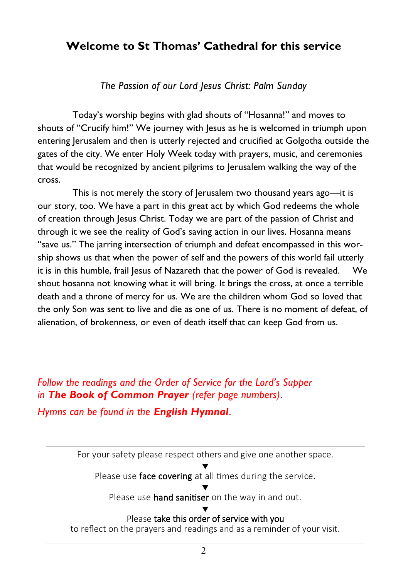### **Welcome to St Thomas' Cathedral for this service**

*The Passion of our Lord Jesus Christ: Palm Sunday* 

Today's worship begins with glad shouts of "Hosanna!" and moves to shouts of "Crucify him!" We journey with Jesus as he is welcomed in triumph upon entering Jerusalem and then is utterly rejected and crucified at Golgotha outside the gates of the city. We enter Holy Week today with prayers, music, and ceremonies that would be recognized by ancient pilgrims to Jerusalem walking the way of the cross.

This is not merely the story of Jerusalem two thousand years ago—it is our story, too. We have a part in this great act by which God redeems the whole of creation through Jesus Christ. Today we are part of the passion of Christ and through it we see the reality of God's saving action in our lives. Hosanna means "save us." The jarring intersection of triumph and defeat encompassed in this worship shows us that when the power of self and the powers of this world fail utterly it is in this humble, frail Jesus of Nazareth that the power of God is revealed. We shout hosanna not knowing what it will bring. It brings the cross, at once a terrible death and a throne of mercy for us. We are the children whom God so loved that the only Son was sent to live and die as one of us. There is no moment of defeat, of alienation, of brokenness, or even of death itself that can keep God from us.

*Follow the readings and the Order of Service for the Lord's Supper in The Book of Common Prayer (refer page numbers)*.

*Hymns can be found in the English Hymnal*.

For your safety please respect others and give one another space. ▼ Please use face covering at all times during the service. ▼ Please use **hand sanitiser** on the way in and out. ▼ Please take this order of service with you

to reflect on the prayers and readings and as a reminder of your visit.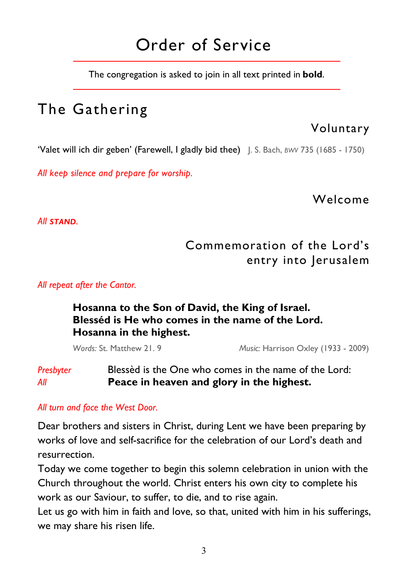## Order of Service

The congregation is asked to join in all text printed in **bold**.

## The Gathering

### Voluntary

'Valet will ich dir geben' (Farewell, I gladly bid thee) J. S. Bach, *BWV* 735 (1685 - 1750)

*All keep silence and prepare for worship.* 

Welcome

*All STAND.* 

### Commemoration of the Lord's entry into Jerusalem

*All repeat after the Cantor.* 

### **Hosanna to the Son of David, the King of Israel. Blesséd is He who comes in the name of the Lord. Hosanna in the highest.**

 *Words:* St. Matthew 21. 9 *Music:* Harrison Oxley (1933 - 2009)

### *Presbyter* Blessèd is the One who comes in the name of the Lord: *All* **Peace in heaven and glory in the highest.**

#### *All turn and face the West Door.*

Dear brothers and sisters in Christ, during Lent we have been preparing by works of love and self-sacrifice for the celebration of our Lord's death and resurrection.

Today we come together to begin this solemn celebration in union with the Church throughout the world. Christ enters his own city to complete his work as our Saviour, to suffer, to die, and to rise again.

Let us go with him in faith and love, so that, united with him in his sufferings, we may share his risen life.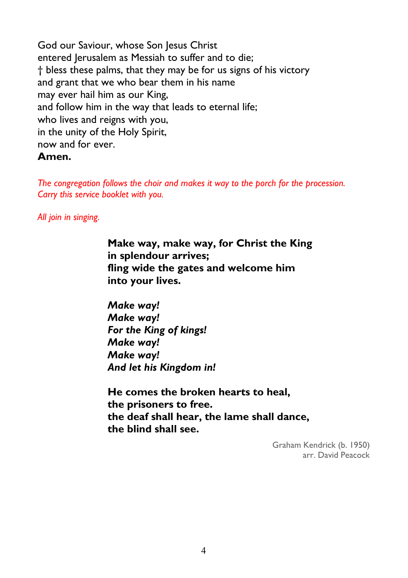God our Saviour, whose Son Jesus Christ entered Jerusalem as Messiah to suffer and to die; † bless these palms, that they may be for us signs of his victory and grant that we who bear them in his name may ever hail him as our King, and follow him in the way that leads to eternal life; who lives and reigns with you, in the unity of the Holy Spirit, now and for ever. **Amen.** 

*The congregation follows the choir and makes it way to the porch for the procession. Carry this service booklet with you.* 

*All join in singing.* 

**Make way, make way, for Christ the King in splendour arrives; fling wide the gates and welcome him into your lives.** 

*Make way! Make way! For the King of kings! Make way! Make way! And let his Kingdom in!* 

**He comes the broken hearts to heal, the prisoners to free. the deaf shall hear, the lame shall dance, the blind shall see.** 

> Graham Kendrick (b. 1950) arr. David Peacock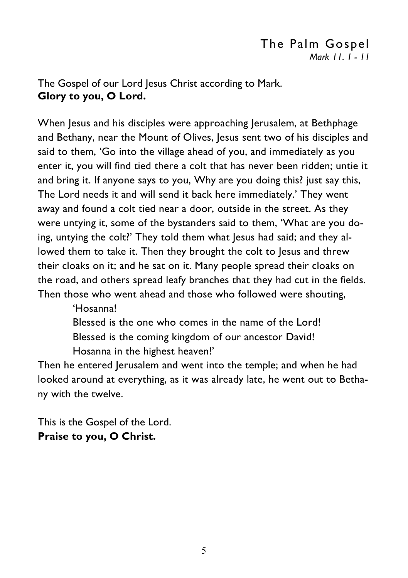### The Palm Gospel *Mark 11. 1 - 11*

The Gospel of our Lord Jesus Christ according to Mark. **Glory to you, O Lord.** 

When Jesus and his disciples were approaching Jerusalem, at Bethphage and Bethany, near the Mount of Olives, Jesus sent two of his disciples and said to them, 'Go into the village ahead of you, and immediately as you enter it, you will find tied there a colt that has never been ridden; untie it and bring it. If anyone says to you, Why are you doing this? just say this, The Lord needs it and will send it back here immediately.' They went away and found a colt tied near a door, outside in the street. As they were untying it, some of the bystanders said to them, 'What are you doing, untying the colt?' They told them what Jesus had said; and they allowed them to take it. Then they brought the colt to Jesus and threw their cloaks on it; and he sat on it. Many people spread their cloaks on the road, and others spread leafy branches that they had cut in the fields. Then those who went ahead and those who followed were shouting,

'Hosanna!

 Blessed is the one who comes in the name of the Lord! Blessed is the coming kingdom of our ancestor David! Hosanna in the highest heaven!'

Then he entered Jerusalem and went into the temple; and when he had looked around at everything, as it was already late, he went out to Bethany with the twelve.

This is the Gospel of the Lord. **Praise to you, O Christ.**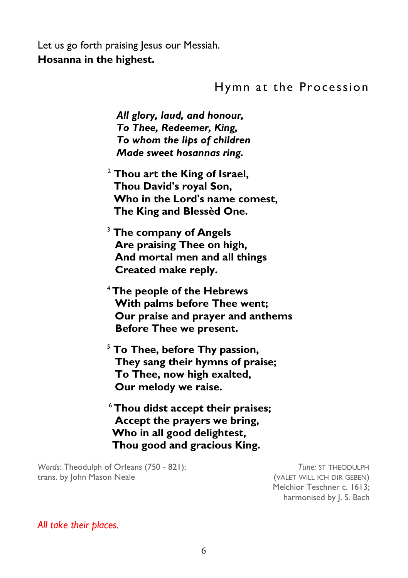Let us go forth praising Jesus our Messiah. **Hosanna in the highest.** 

### Hymn at the Procession

 *All glory, laud, and honour, To Thee, Redeemer, King, To whom the lips of children Made sweet hosannas ring.* 

- <sup>2</sup> **Thou art the King of Israel, Thou David's royal Son, Who in the Lord's name comest, The King and Blessèd One.**
- <sup>3</sup> **The company of Angels Are praising Thee on high, And mortal men and all things Created make reply.**
- <sup>4</sup>**The people of the Hebrews With palms before Thee went; Our praise and prayer and anthems Before Thee we present.**
- <sup>5</sup> **To Thee, before Thy passion, They sang their hymns of praise; To Thee, now high exalted, Our melody we raise.**
- <sup>6</sup>**Thou didst accept their praises; Accept the prayers we bring, Who in all good delightest, Thou good and gracious King.**

Words: Theodulph of Orleans (750 - 821); *Tune:* ST THEODULPH trans. by John Mason Neale (VALET WILL ICH DIR GEBEN)

 Melchior Teschner c. 1613; harmonised by J. S. Bach

#### *All take their places.*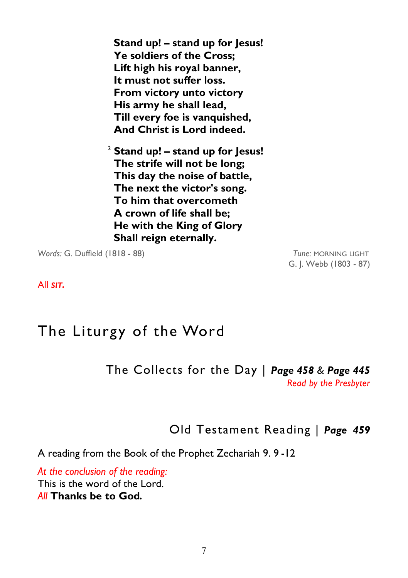**Stand up! – stand up for Jesus! Ye soldiers of the Cross; Lift high his royal banner, It must not suffer loss. From victory unto victory His army he shall lead, Till every foe is vanquished, And Christ is Lord indeed.** 

2  **Stand up! – stand up for Jesus! The strife will not be long; This day the noise of battle, The next the victor's song. To him that overcometh A crown of life shall be; He with the King of Glory Shall reign eternally.** 

*Words:* G. Duffield (1818 - 88) *Tune:* MORNING LIGHT

G. J. Webb (1803 - 87)

All *SIT.* 

## The Liturgy of the Word

The Collects for the Day | *Page 458 & Page 445 Read by the Presbyter* 

Old Testament Reading | *Page 459* 

A reading from the Book of the Prophet Zechariah 9. 9 -12

*At the conclusion of the reading:*  This is the word of the Lord. *All* **Thanks be to God***.*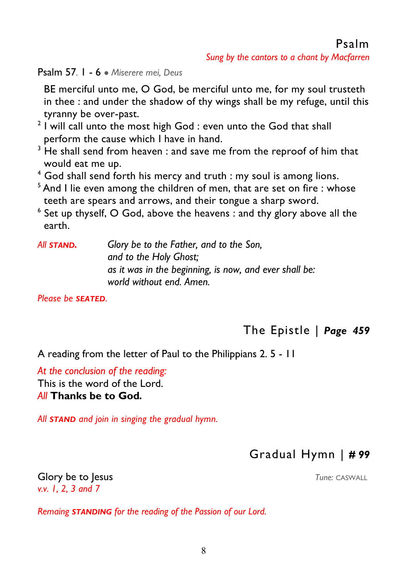Psalm 57*.* 1 - 6 ● *Miserere mei, Deus* 

 BE merciful unto me, O God, be merciful unto me, for my soul trusteth in thee : and under the shadow of thy wings shall be my refuge, until this tyranny be over-past.

- $2$  I will call unto the most high God : even unto the God that shall perform the cause which I have in hand.
- $3$  He shall send from heaven : and save me from the reproof of him that would eat me up.
- 4 God shall send forth his mercy and truth : my soul is among lions.
- $5$  And I lie even among the children of men, that are set on fire : whose teeth are spears and arrows, and their tongue a sharp sword.
- $^{\circ}$  Set up thyself, O God, above the heavens : and thy glory above all the earth.

| All <b>STAND.</b> | Glory be to the Father, and to the Son,                |
|-------------------|--------------------------------------------------------|
|                   | and to the Holy Ghost;                                 |
|                   | as it was in the beginning, is now, and ever shall be: |
|                   | world without end. Amen.                               |

*Please be SEATED.* 

### The Epistle | *Page 459*

A reading from the letter of Paul to the Philippians 2. 5 - 11

*At the conclusion of the reading:*  This is the word of the Lord. *All* **Thanks be to God***.* 

*All STAND and join in singing the gradual hymn.* 

### Gradual Hymn | *# 99*

**Glory be to lesus Tune:** CASWALL *v.v. 1, 2, 3 and 7* 

*Remaing STANDING for the reading of the Passion of our Lord.*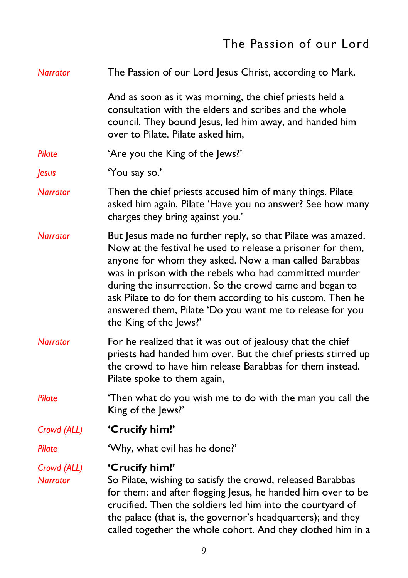### The Passion of our Lord

| <b>Narrator</b>                | The Passion of our Lord Jesus Christ, according to Mark.                                                                                                                                                                                                                                                                                                                                                                                                     |  |  |  |
|--------------------------------|--------------------------------------------------------------------------------------------------------------------------------------------------------------------------------------------------------------------------------------------------------------------------------------------------------------------------------------------------------------------------------------------------------------------------------------------------------------|--|--|--|
|                                | And as soon as it was morning, the chief priests held a<br>consultation with the elders and scribes and the whole<br>council. They bound Jesus, led him away, and handed him<br>over to Pilate. Pilate asked him,                                                                                                                                                                                                                                            |  |  |  |
| Pilate                         | 'Are you the King of the Jews?'                                                                                                                                                                                                                                                                                                                                                                                                                              |  |  |  |
| <b>Jesus</b>                   | 'You say so.'                                                                                                                                                                                                                                                                                                                                                                                                                                                |  |  |  |
| <b>Narrator</b>                | Then the chief priests accused him of many things. Pilate<br>asked him again, Pilate 'Have you no answer? See how many<br>charges they bring against you.'                                                                                                                                                                                                                                                                                                   |  |  |  |
| <b>Narrator</b>                | But Jesus made no further reply, so that Pilate was amazed.<br>Now at the festival he used to release a prisoner for them,<br>anyone for whom they asked. Now a man called Barabbas<br>was in prison with the rebels who had committed murder<br>during the insurrection. So the crowd came and began to<br>ask Pilate to do for them according to his custom. Then he<br>answered them, Pilate 'Do you want me to release for you<br>the King of the Jews?' |  |  |  |
| <b>Narrator</b>                | For he realized that it was out of jealousy that the chief<br>priests had handed him over. But the chief priests stirred up<br>the crowd to have him release Barabbas for them instead.<br>Pilate spoke to them again,                                                                                                                                                                                                                                       |  |  |  |
| Pilate                         | 'Then what do you wish me to do with the man you call the<br>King of the Jews?'                                                                                                                                                                                                                                                                                                                                                                              |  |  |  |
| Crowd (ALL)                    | 'Crucify him!'                                                                                                                                                                                                                                                                                                                                                                                                                                               |  |  |  |
| Pilate                         | 'Why, what evil has he done?'                                                                                                                                                                                                                                                                                                                                                                                                                                |  |  |  |
| Crowd (ALL)<br><b>Narrator</b> | 'Crucify him!'<br>So Pilate, wishing to satisfy the crowd, released Barabbas<br>for them; and after flogging Jesus, he handed him over to be<br>crucified. Then the soldiers led him into the courtyard of<br>the palace (that is, the governor's headquarters); and they<br>called together the whole cohort. And they clothed him in a                                                                                                                     |  |  |  |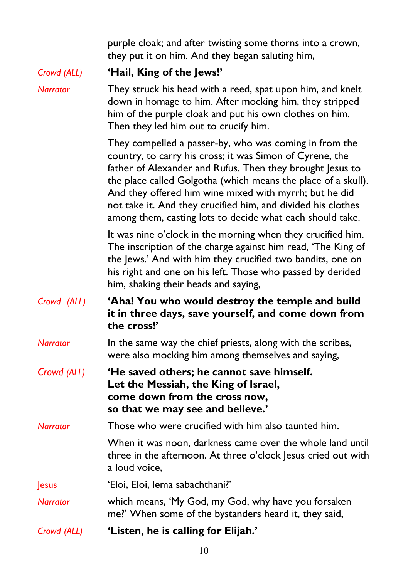purple cloak; and after twisting some thorns into a crown, they put it on him. And they began saluting him,

*Crowd (ALL)* **'Hail, King of the Jews!'** 

*Narrator* They struck his head with a reed, spat upon him, and knelt down in homage to him. After mocking him, they stripped him of the purple cloak and put his own clothes on him. Then they led him out to crucify him.

> They compelled a passer-by, who was coming in from the country, to carry his cross; it was Simon of Cyrene, the father of Alexander and Rufus. Then they brought Jesus to the place called Golgotha (which means the place of a skull). And they offered him wine mixed with myrrh; but he did not take it. And they crucified him, and divided his clothes among them, casting lots to decide what each should take.

> It was nine o'clock in the morning when they crucified him. The inscription of the charge against him read, 'The King of the Jews.' And with him they crucified two bandits, one on his right and one on his left. Those who passed by derided him, shaking their heads and saying,

*Crowd (ALL)* **'Aha! You who would destroy the temple and build it in three days, save yourself, and come down from the cross!'**

*Narrator* In the same way the chief priests, along with the scribes, were also mocking him among themselves and saying,

*Crowd (ALL)* **'He saved others; he cannot save himself. Let the Messiah, the King of Israel, come down from the cross now, so that we may see and believe.'** 

*Narrator* Those who were crucified with him also taunted him.

 When it was noon, darkness came over the whole land until three in the afternoon. At three o'clock lesus cried out with a loud voice,

Jesus 'Eloi, Eloi, lema sabachthani?'

*Narrator* which means, 'My God, my God, why have you forsaken me?' When some of the bystanders heard it, they said,

*Crowd (ALL)* **'Listen, he is calling for Elijah.'**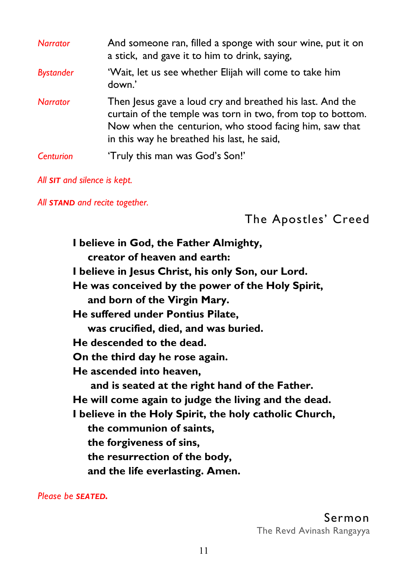| <b>Narrator</b>  | And someone ran, filled a sponge with sour wine, put it on<br>a stick, and gave it to him to drink, saying,                                                                                                                     |  |  |  |
|------------------|---------------------------------------------------------------------------------------------------------------------------------------------------------------------------------------------------------------------------------|--|--|--|
| <b>Bystander</b> | 'Wait, let us see whether Elijah will come to take him<br>down.'                                                                                                                                                                |  |  |  |
| <b>Narrator</b>  | Then Jesus gave a loud cry and breathed his last. And the<br>curtain of the temple was torn in two, from top to bottom.<br>Now when the centurion, who stood facing him, saw that<br>in this way he breathed his last, he said, |  |  |  |
| <b>Centurion</b> | 'Truly this man was God's Son!'                                                                                                                                                                                                 |  |  |  |

#### *All SIT and silence is kept.*

*All STAND and recite together.* 

The Apostles' Creed

**I believe in God, the Father Almighty, creator of heaven and earth: I believe in Jesus Christ, his only Son, our Lord. He was conceived by the power of the Holy Spirit, and born of the Virgin Mary. He suffered under Pontius Pilate, was crucified, died, and was buried. He descended to the dead. On the third day he rose again. He ascended into heaven, and is seated at the right hand of the Father. He will come again to judge the living and the dead. I believe in the Holy Spirit, the holy catholic Church, the communion of saints, the forgiveness of sins, the resurrection of the body, and the life everlasting. Amen.** 

*Please be SEATED.*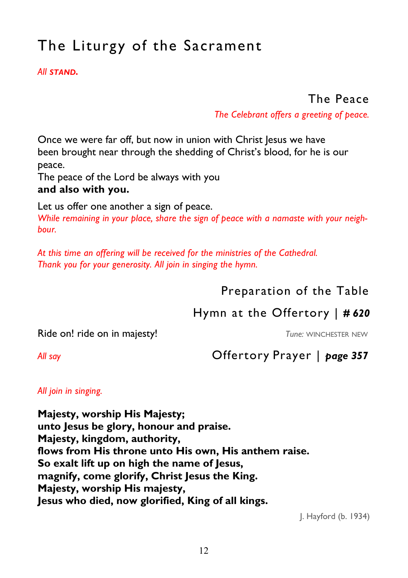## The Liturgy of the Sacrament

#### *All STAND.*

### The Peace

*The Celebrant offers a greeting of peace.*

Once we were far off, but now in union with Christ Jesus we have been brought near through the shedding of Christ's blood, for he is our peace.

The peace of the Lord be always with you

#### **and also with you.**

Let us offer one another a sign of peace.

*While remaining in your place, share the sign of peace with a namaste with your neighbour.* 

*At this time an offering will be received for the ministries of the Cathedral. Thank you for your generosity. All join in singing the hymn.* 

### Preparation of the Table

### Hymn at the Offertory | *# 620*

### Ride on! ride on in majesty!<br>
Tune: WINCHESTER NEW

### *All say* Offertory Prayer | *page 357*

#### *All join in singing.*

**Majesty, worship His Majesty; unto Jesus be glory, honour and praise. Majesty, kingdom, authority, flows from His throne unto His own, His anthem raise. So exalt lift up on high the name of Jesus, magnify, come glorify, Christ Jesus the King. Majesty, worship His majesty, Jesus who died, now glorified, King of all kings.** 

J. Hayford (b. 1934)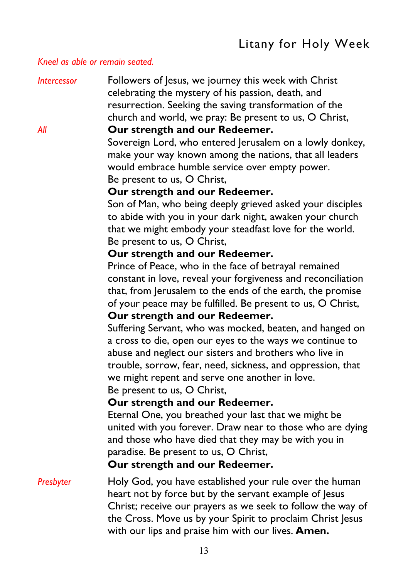#### *Kneel as able or remain seated.*

*Intercessor* Followers of Jesus, we journey this week with Christ celebrating the mystery of his passion, death, and resurrection. Seeking the saving transformation of the church and world, we pray: Be present to us, O Christ,

#### *All* **Our strength and our Redeemer.**

Sovereign Lord, who entered Jerusalem on a lowly donkey, make your way known among the nations, that all leaders would embrace humble service over empty power. Be present to us, O Christ,

#### **Our strength and our Redeemer.**

 Son of Man, who being deeply grieved asked your disciples to abide with you in your dark night, awaken your church that we might embody your steadfast love for the world. Be present to us, O Christ,

#### **Our strength and our Redeemer.**

 Prince of Peace, who in the face of betrayal remained constant in love, reveal your forgiveness and reconciliation that, from Jerusalem to the ends of the earth, the promise of your peace may be fulfilled. Be present to us, O Christ,  **Our strength and our Redeemer.** 

 Suffering Servant, who was mocked, beaten, and hanged on a cross to die, open our eyes to the ways we continue to abuse and neglect our sisters and brothers who live in trouble, sorrow, fear, need, sickness, and oppression, that we might repent and serve one another in love. Be present to us, O Christ,

#### **Our strength and our Redeemer.**

 Eternal One, you breathed your last that we might be united with you forever. Draw near to those who are dying and those who have died that they may be with you in paradise. Be present to us, O Christ,

#### **Our strength and our Redeemer.**

### *Presbyter* Holy God, you have established your rule over the human heart not by force but by the servant example of lesus Christ; receive our prayers as we seek to follow the way of the Cross. Move us by your Spirit to proclaim Christ Jesus with our lips and praise him with our lives. **Amen.**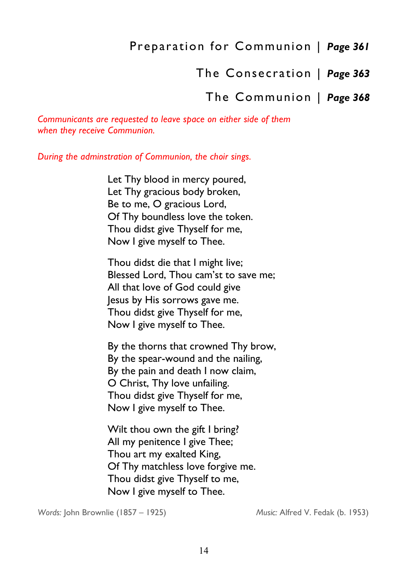### Preparation for Communion | *Page 361*

The Consecration | *Page 363* 

### The Communion | *Page 368*

*Communicants are requested to leave space on either side of them when they receive Communion.* 

*During the adminstration of Communion, the choir sings.* 

 Let Thy blood in mercy poured, Let Thy gracious body broken, Be to me, O gracious Lord, Of Thy boundless love the token. Thou didst give Thyself for me, Now I give myself to Thee.

 Thou didst die that I might live; Blessed Lord, Thou cam'st to save me; All that love of God could give Jesus by His sorrows gave me. Thou didst give Thyself for me, Now I give myself to Thee.

 By the thorns that crowned Thy brow, By the spear-wound and the nailing, By the pain and death I now claim, O Christ, Thy love unfailing. Thou didst give Thyself for me, Now I give myself to Thee.

 Wilt thou own the gift I bring? All my penitence I give Thee; Thou art my exalted King, Of Thy matchless love forgive me. Thou didst give Thyself to me, Now I give myself to Thee.

*Words:* John Brownlie (1857 – 1925) *Music:* Alfred V. Fedak (b. 1953)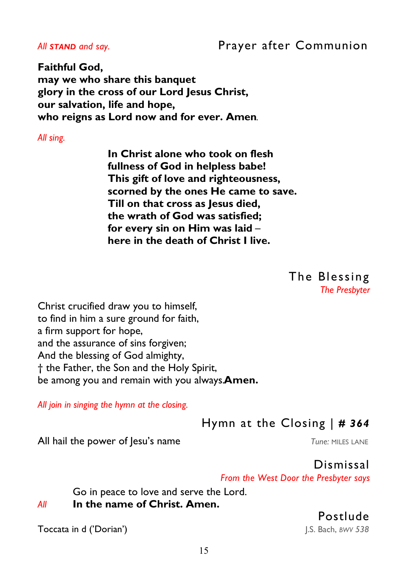### All **STAND** and say. **Prayer after Communion**

**Faithful God, may we who share this banquet glory in the cross of our Lord Jesus Christ, our salvation, life and hope, who reigns as Lord now and for ever. Amen**.

*All sing.* 

 **In Christ alone who took on flesh fullness of God in helpless babe! This gift of love and righteousness, scorned by the ones He came to save. Till on that cross as Jesus died, the wrath of God was satisfied; for every sin on Him was laid** –  **here in the death of Christ I live.** 

> The Blessing *The Presbyter*

Christ crucified draw you to himself, to find in him a sure ground for faith, a firm support for hope, and the assurance of sins forgiven; And the blessing of God almighty, † the Father, the Son and the Holy Spirit, be among you and remain with you always.**Amen.** 

*All join in singing the hymn at the closing.* 

Hymn at the Closing | *# 364* 

All hail the power of lesu's name *Tune: MILES LANE* 

Dismissal

*From the West Door the Presbyter says* 

Go in peace to love and serve the Lord.

### *All* **In the name of Christ. Amen.**

Toccata in d ('Dorian')J.S. Bach, *BWV 538*

Postlude